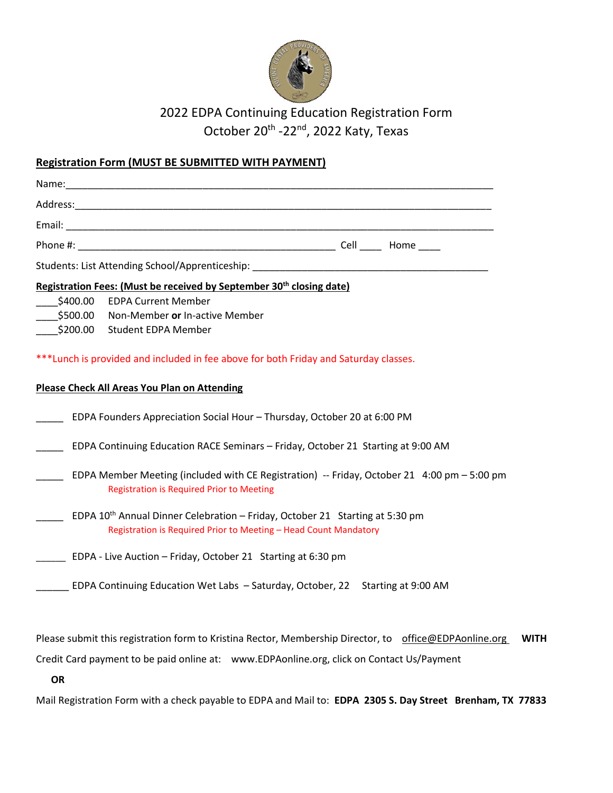

## 2022 EDPA Continuing Education Registration Form October 20<sup>th</sup> -22<sup>nd</sup>, 2022 Katy, Texas

## **Registration Form (MUST BE SUBMITTED WITH PAYMENT)**

|                                                                                       | Students: List Attending School/Apprenticeship: ________________________________                                                                             |  |  |  |  |
|---------------------------------------------------------------------------------------|--------------------------------------------------------------------------------------------------------------------------------------------------------------|--|--|--|--|
| Registration Fees: (Must be received by September 30 <sup>th</sup> closing date)      |                                                                                                                                                              |  |  |  |  |
|                                                                                       | \$400.00 EDPA Current Member                                                                                                                                 |  |  |  |  |
| \$500.00                                                                              | Non-Member or In-active Member                                                                                                                               |  |  |  |  |
|                                                                                       | \$200.00 Student EDPA Member                                                                                                                                 |  |  |  |  |
| *** Lunch is provided and included in fee above for both Friday and Saturday classes. |                                                                                                                                                              |  |  |  |  |
| <b>Please Check All Areas You Plan on Attending</b>                                   |                                                                                                                                                              |  |  |  |  |
|                                                                                       | EDPA Founders Appreciation Social Hour - Thursday, October 20 at 6:00 PM                                                                                     |  |  |  |  |
|                                                                                       | EDPA Continuing Education RACE Seminars - Friday, October 21 Starting at 9:00 AM                                                                             |  |  |  |  |
|                                                                                       | EDPA Member Meeting (included with CE Registration) -- Friday, October 21 4:00 pm - 5:00 pm<br><b>Registration is Required Prior to Meeting</b>              |  |  |  |  |
|                                                                                       | EDPA 10 <sup>th</sup> Annual Dinner Celebration - Friday, October 21 Starting at 5:30 pm<br>Registration is Required Prior to Meeting - Head Count Mandatory |  |  |  |  |
|                                                                                       | EDPA - Live Auction - Friday, October 21 Starting at 6:30 pm                                                                                                 |  |  |  |  |
|                                                                                       | EDPA Continuing Education Wet Labs - Saturday, October, 22 Starting at 9:00 AM                                                                               |  |  |  |  |

Please submit this registration form to Kristina Rector, Membership Director, to [office@EDPAonline.org](mailto:office@EDPAonline.org) WITH

Credit Card payment to be paid online at: [www.EDPAonline.org,](http://www.edpaonline.org/) click on Contact Us/Payment

**OR**

Mail Registration Form with a check payable to EDPA and Mail to: **EDPA 2305 S. Day Street Brenham, TX 77833**